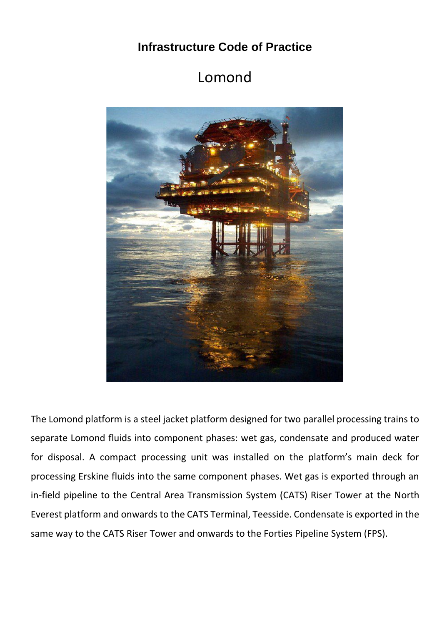## **Infrastructure Code of Practice**

## Lomond



The Lomond platform is a steel jacket platform designed for two parallel processing trains to separate Lomond fluids into component phases: wet gas, condensate and produced water for disposal. A compact processing unit was installed on the platform's main deck for processing Erskine fluids into the same component phases. Wet gas is exported through an in-field pipeline to the Central Area Transmission System (CATS) Riser Tower at the North Everest platform and onwards to the CATS Terminal, Teesside. Condensate is exported in the same way to the CATS Riser Tower and onwards to the Forties Pipeline System (FPS).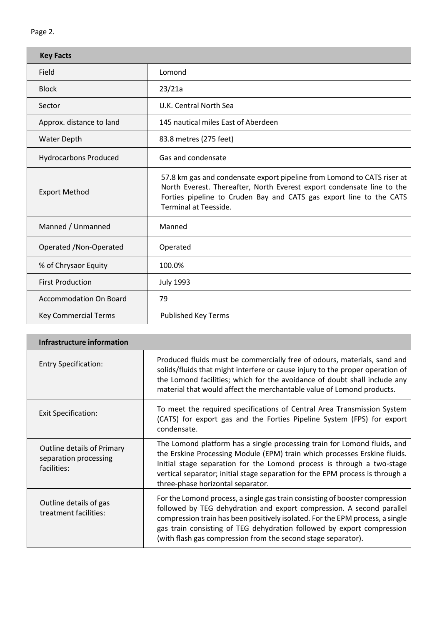| <b>Key Facts</b>              |                                                                                                                                                                                                                                                          |  |  |  |
|-------------------------------|----------------------------------------------------------------------------------------------------------------------------------------------------------------------------------------------------------------------------------------------------------|--|--|--|
| Field                         | Lomond                                                                                                                                                                                                                                                   |  |  |  |
| <b>Block</b>                  | 23/21a                                                                                                                                                                                                                                                   |  |  |  |
| Sector                        | U.K. Central North Sea                                                                                                                                                                                                                                   |  |  |  |
| Approx. distance to land      | 145 nautical miles East of Aberdeen                                                                                                                                                                                                                      |  |  |  |
| <b>Water Depth</b>            | 83.8 metres (275 feet)                                                                                                                                                                                                                                   |  |  |  |
| <b>Hydrocarbons Produced</b>  | Gas and condensate                                                                                                                                                                                                                                       |  |  |  |
| <b>Export Method</b>          | 57.8 km gas and condensate export pipeline from Lomond to CATS riser at<br>North Everest. Thereafter, North Everest export condensate line to the<br>Forties pipeline to Cruden Bay and CATS gas export line to the CATS<br><b>Terminal at Teesside.</b> |  |  |  |
| Manned / Unmanned             | Manned                                                                                                                                                                                                                                                   |  |  |  |
| Operated / Non-Operated       | Operated                                                                                                                                                                                                                                                 |  |  |  |
| % of Chrysaor Equity          | 100.0%                                                                                                                                                                                                                                                   |  |  |  |
| <b>First Production</b>       | <b>July 1993</b>                                                                                                                                                                                                                                         |  |  |  |
| <b>Accommodation On Board</b> | 79                                                                                                                                                                                                                                                       |  |  |  |
| <b>Key Commercial Terms</b>   | Published Key Terms                                                                                                                                                                                                                                      |  |  |  |

| Infrastructure information                                                |                                                                                                                                                                                                                                                                                                                                                                                   |
|---------------------------------------------------------------------------|-----------------------------------------------------------------------------------------------------------------------------------------------------------------------------------------------------------------------------------------------------------------------------------------------------------------------------------------------------------------------------------|
| <b>Entry Specification:</b>                                               | Produced fluids must be commercially free of odours, materials, sand and<br>solids/fluids that might interfere or cause injury to the proper operation of<br>the Lomond facilities; which for the avoidance of doubt shall include any<br>material that would affect the merchantable value of Lomond products.                                                                   |
| <b>Exit Specification:</b>                                                | To meet the required specifications of Central Area Transmission System<br>(CATS) for export gas and the Forties Pipeline System (FPS) for export<br>condensate.                                                                                                                                                                                                                  |
| <b>Outline details of Primary</b><br>separation processing<br>facilities: | The Lomond platform has a single processing train for Lomond fluids, and<br>the Erskine Processing Module (EPM) train which processes Erskine fluids.<br>Initial stage separation for the Lomond process is through a two-stage<br>vertical separator; initial stage separation for the EPM process is through a<br>three-phase horizontal separator.                             |
| Outline details of gas<br>treatment facilities:                           | For the Lomond process, a single gas train consisting of booster compression<br>followed by TEG dehydration and export compression. A second parallel<br>compression train has been positively isolated. For the EPM process, a single<br>gas train consisting of TEG dehydration followed by export compression<br>(with flash gas compression from the second stage separator). |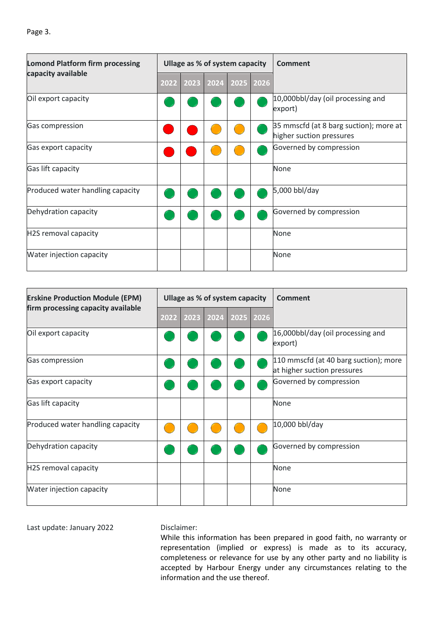| <b>Lomond Platform firm processing</b><br>capacity available |      | Ullage as % of system capacity |  |  | <b>Comment</b>                                                     |
|--------------------------------------------------------------|------|--------------------------------|--|--|--------------------------------------------------------------------|
|                                                              | 2022 | 2023 2024 2025 2026            |  |  |                                                                    |
| Oil export capacity                                          |      |                                |  |  | 10,000bbl/day (oil processing and<br>export)                       |
| Gas compression                                              |      |                                |  |  | 35 mmscfd (at 8 barg suction); more at<br>higher suction pressures |
| Gas export capacity                                          |      |                                |  |  | Governed by compression                                            |
| Gas lift capacity                                            |      |                                |  |  | None                                                               |
| Produced water handling capacity                             |      |                                |  |  | 5,000 bbl/day                                                      |
| Dehydration capacity                                         |      |                                |  |  | Governed by compression                                            |
| H2S removal capacity                                         |      |                                |  |  | None                                                               |
| Water injection capacity                                     |      |                                |  |  | <b>None</b>                                                        |

| <b>Erskine Production Module (EPM)</b> |      |      | Ullage as % of system capacity |      | <b>Comment</b>                                                       |
|----------------------------------------|------|------|--------------------------------|------|----------------------------------------------------------------------|
| firm processing capacity available     | 2022 | 2023 | 2024 2025                      | 2026 |                                                                      |
| Oil export capacity                    |      |      |                                |      | 16,000bbl/day (oil processing and<br>export)                         |
| Gas compression                        |      |      |                                |      | 110 mmscfd (at 40 barg suction); more<br>at higher suction pressures |
| Gas export capacity                    |      |      |                                |      | Governed by compression                                              |
| Gas lift capacity                      |      |      |                                |      | None                                                                 |
| Produced water handling capacity       |      |      |                                |      | 10,000 bbl/day                                                       |
| Dehydration capacity                   |      |      |                                |      | Governed by compression                                              |
| H2S removal capacity                   |      |      |                                |      | <b>None</b>                                                          |
| Water injection capacity               |      |      |                                |      | <b>None</b>                                                          |

Last update: January 2022 Disclaimer:

While this information has been prepared in good faith, no warranty or representation (implied or express) is made as to its accuracy, completeness or relevance for use by any other party and no liability is accepted by Harbour Energy under any circumstances relating to the information and the use thereof.